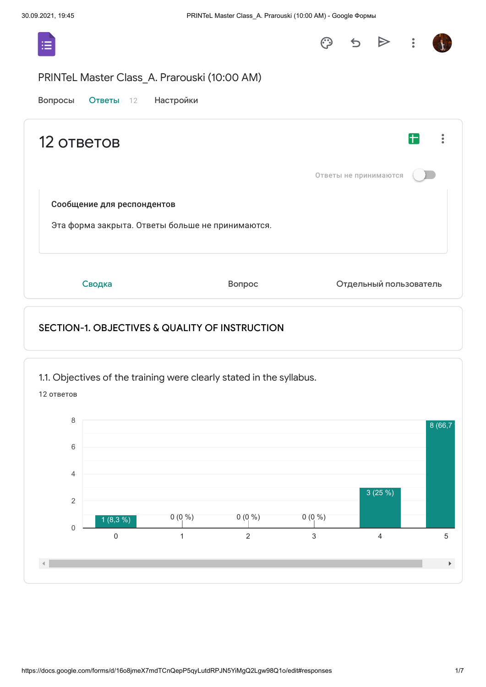

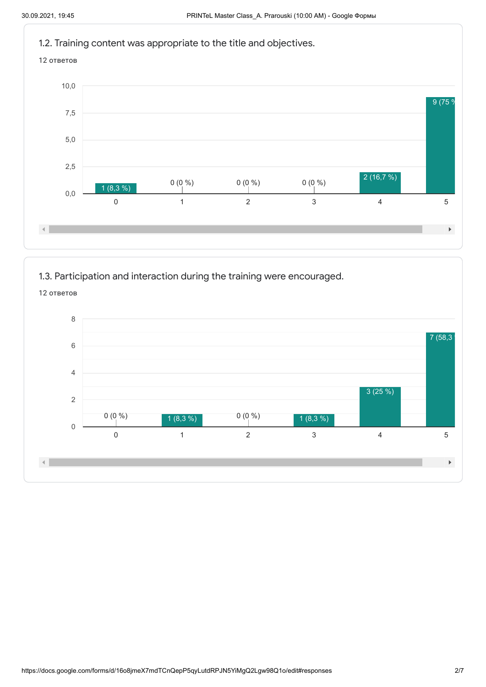

1.3. Participation and interaction during the training were encouraged.

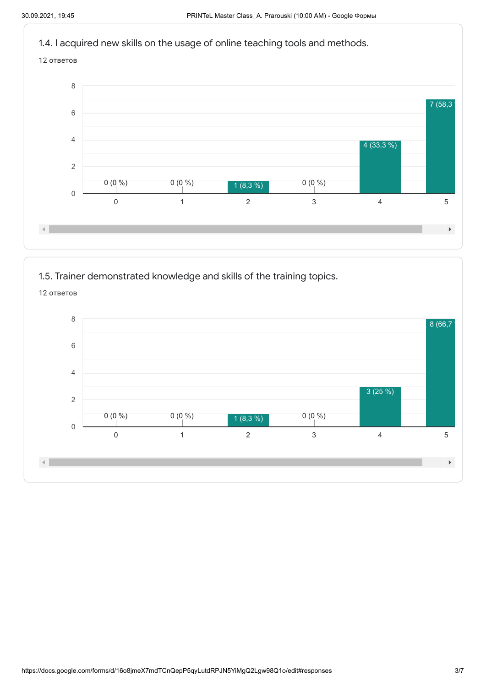

1.5. Trainer demonstrated knowledge and skills of the training topics.

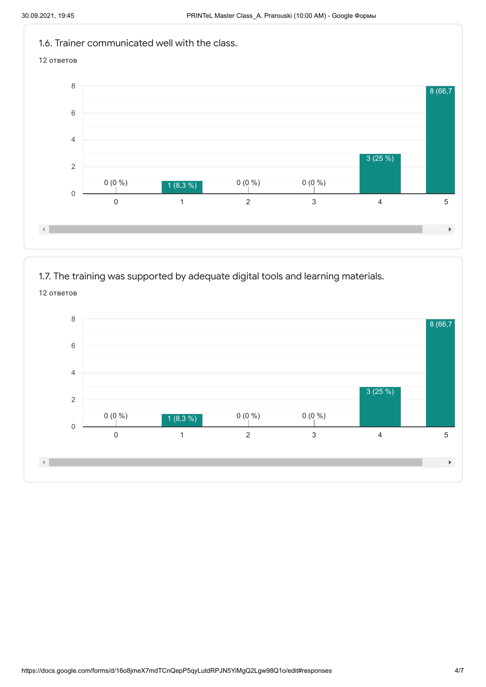

1.7. The training was supported by adequate digital tools and learning materials.

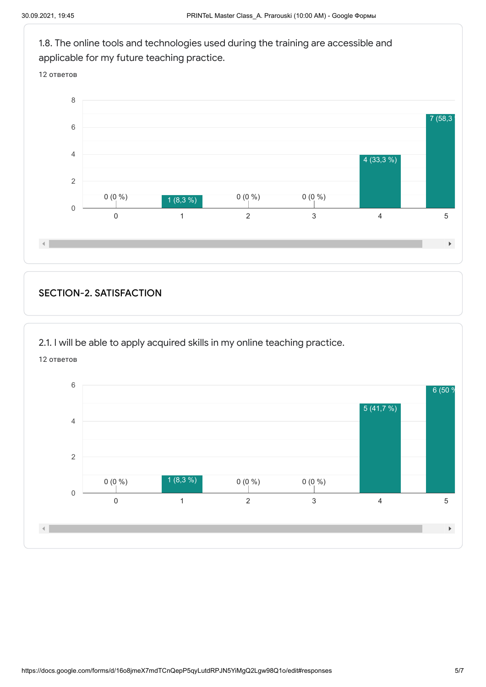

## SECTION-2. SATISFACTION

2.1. I will be able to apply acquired skills in my online teaching practice.

12 ответов

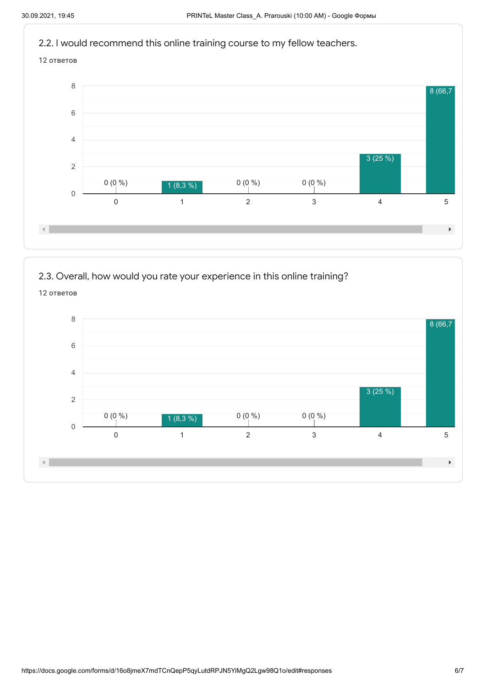